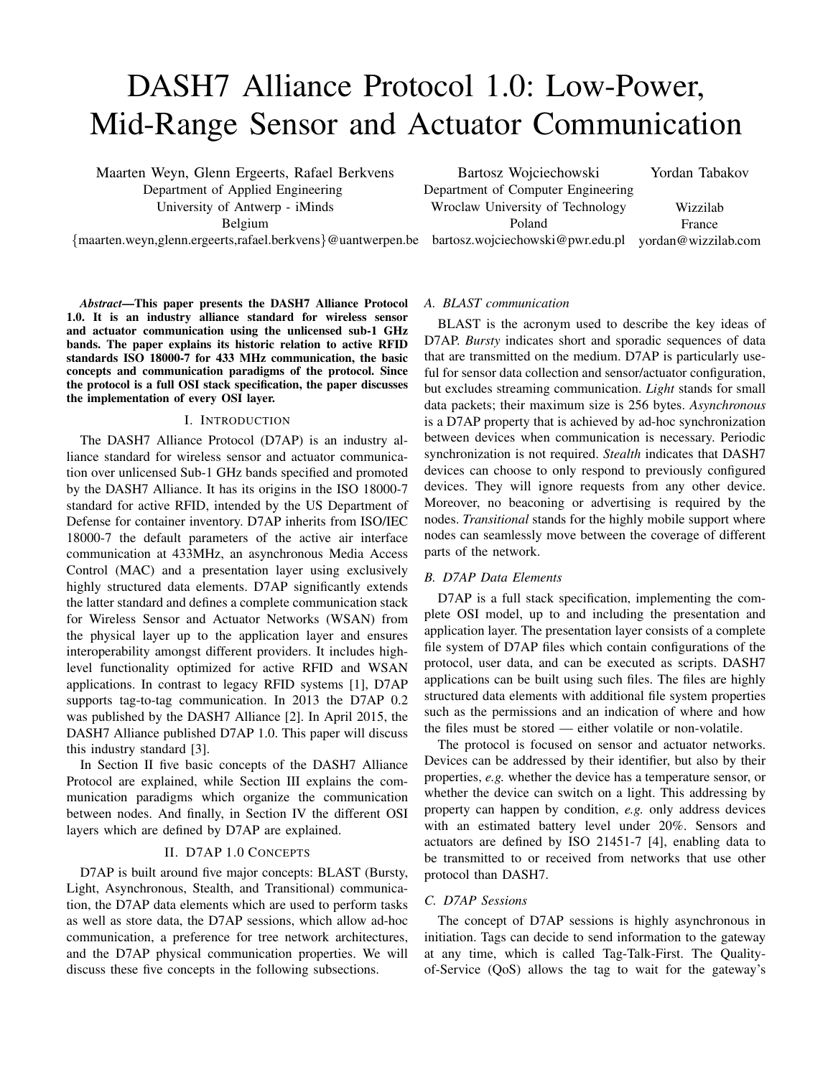# DASH7 Alliance Protocol 1.0: Low-Power, Mid-Range Sensor and Actuator Communication

Maarten Weyn, Glenn Ergeerts, Rafael Berkvens Department of Applied Engineering University of Antwerp - iMinds Belgium {maarten.weyn,glenn.ergeerts,rafael.berkvens}@uantwerpen.be

*Abstract*—This paper presents the DASH7 Alliance Protocol 1.0. It is an industry alliance standard for wireless sensor and actuator communication using the unlicensed sub-1 GHz bands. The paper explains its historic relation to active RFID standards ISO 18000-7 for 433 MHz communication, the basic concepts and communication paradigms of the protocol. Since the protocol is a full OSI stack specification, the paper discusses the implementation of every OSI layer.

## I. INTRODUCTION

The DASH7 Alliance Protocol (D7AP) is an industry alliance standard for wireless sensor and actuator communication over unlicensed Sub-1 GHz bands specified and promoted by the DASH7 Alliance. It has its origins in the ISO 18000-7 standard for active RFID, intended by the US Department of Defense for container inventory. D7AP inherits from ISO/IEC 18000-7 the default parameters of the active air interface communication at 433MHz, an asynchronous Media Access Control (MAC) and a presentation layer using exclusively highly structured data elements. D7AP significantly extends the latter standard and defines a complete communication stack for Wireless Sensor and Actuator Networks (WSAN) from the physical layer up to the application layer and ensures interoperability amongst different providers. It includes highlevel functionality optimized for active RFID and WSAN applications. In contrast to legacy RFID systems [1], D7AP supports tag-to-tag communication. In 2013 the D7AP 0.2 was published by the DASH7 Alliance [2]. In April 2015, the DASH7 Alliance published D7AP 1.0. This paper will discuss this industry standard [3].

In Section II five basic concepts of the DASH7 Alliance Protocol are explained, while Section III explains the communication paradigms which organize the communication between nodes. And finally, in Section IV the different OSI layers which are defined by D7AP are explained.

## II. D7AP 1.0 CONCEPTS

D7AP is built around five major concepts: BLAST (Bursty, Light, Asynchronous, Stealth, and Transitional) communication, the D7AP data elements which are used to perform tasks as well as store data, the D7AP sessions, which allow ad-hoc communication, a preference for tree network architectures, and the D7AP physical communication properties. We will discuss these five concepts in the following subsections.

Bartosz Wojciechowski Department of Computer Engineering Wroclaw University of Technology Poland bartosz.wojciechowski@pwr.edu.pl yordan@wizzilab.com Wizzilab France

*A. BLAST communication*

BLAST is the acronym used to describe the key ideas of D7AP. *Bursty* indicates short and sporadic sequences of data that are transmitted on the medium. D7AP is particularly useful for sensor data collection and sensor/actuator configuration, but excludes streaming communication. *Light* stands for small data packets; their maximum size is 256 bytes. *Asynchronous* is a D7AP property that is achieved by ad-hoc synchronization between devices when communication is necessary. Periodic synchronization is not required. *Stealth* indicates that DASH7 devices can choose to only respond to previously configured devices. They will ignore requests from any other device. Moreover, no beaconing or advertising is required by the nodes. *Transitional* stands for the highly mobile support where nodes can seamlessly move between the coverage of different parts of the network.

#### *B. D7AP Data Elements*

D7AP is a full stack specification, implementing the complete OSI model, up to and including the presentation and application layer. The presentation layer consists of a complete file system of D7AP files which contain configurations of the protocol, user data, and can be executed as scripts. DASH7 applications can be built using such files. The files are highly structured data elements with additional file system properties such as the permissions and an indication of where and how the files must be stored — either volatile or non-volatile.

The protocol is focused on sensor and actuator networks. Devices can be addressed by their identifier, but also by their properties, *e.g.* whether the device has a temperature sensor, or whether the device can switch on a light. This addressing by property can happen by condition, *e.g.* only address devices with an estimated battery level under 20%. Sensors and actuators are defined by ISO 21451-7 [4], enabling data to be transmitted to or received from networks that use other protocol than DASH7.

## *C. D7AP Sessions*

The concept of D7AP sessions is highly asynchronous in initiation. Tags can decide to send information to the gateway at any time, which is called Tag-Talk-First. The Qualityof-Service (QoS) allows the tag to wait for the gateway's

Yordan Tabakov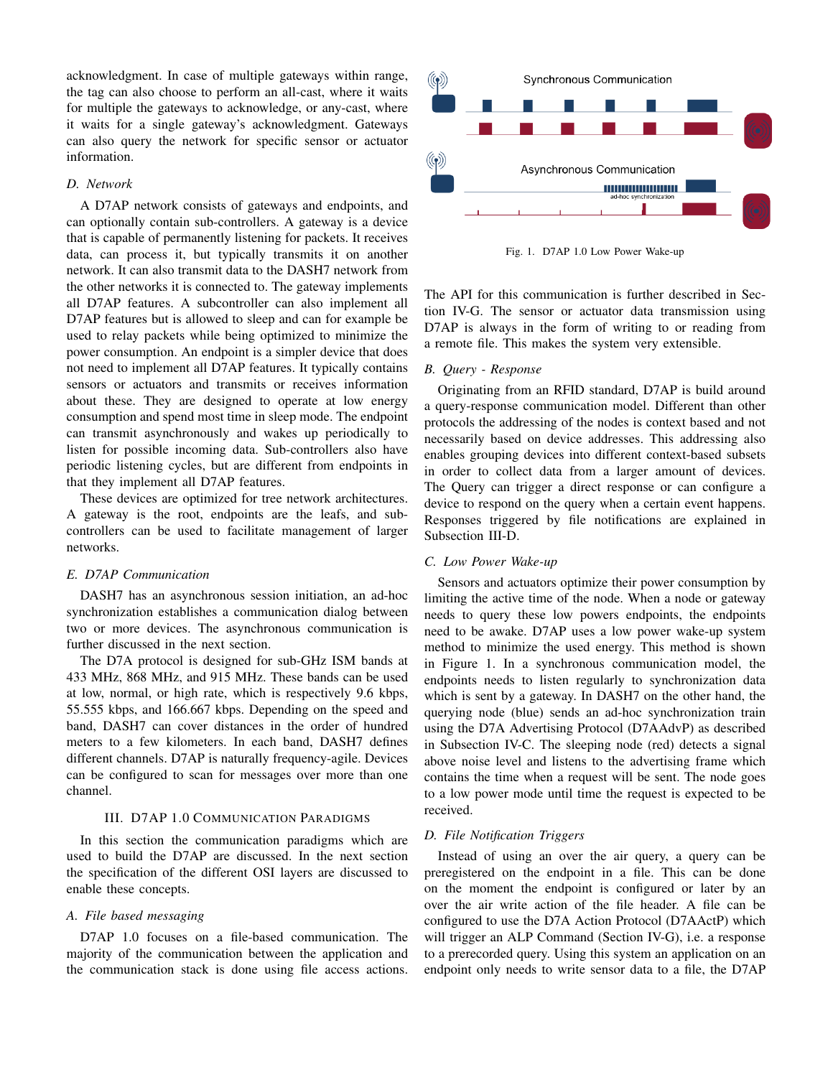acknowledgment. In case of multiple gateways within range, the tag can also choose to perform an all-cast, where it waits for multiple the gateways to acknowledge, or any-cast, where it waits for a single gateway's acknowledgment. Gateways can also query the network for specific sensor or actuator information.

## *D. Network*

A D7AP network consists of gateways and endpoints, and can optionally contain sub-controllers. A gateway is a device that is capable of permanently listening for packets. It receives data, can process it, but typically transmits it on another network. It can also transmit data to the DASH7 network from the other networks it is connected to. The gateway implements all D7AP features. A subcontroller can also implement all D7AP features but is allowed to sleep and can for example be used to relay packets while being optimized to minimize the power consumption. An endpoint is a simpler device that does not need to implement all D7AP features. It typically contains sensors or actuators and transmits or receives information about these. They are designed to operate at low energy consumption and spend most time in sleep mode. The endpoint can transmit asynchronously and wakes up periodically to listen for possible incoming data. Sub-controllers also have periodic listening cycles, but are different from endpoints in that they implement all D7AP features.

These devices are optimized for tree network architectures. A gateway is the root, endpoints are the leafs, and subcontrollers can be used to facilitate management of larger networks.

## *E. D7AP Communication*

DASH7 has an asynchronous session initiation, an ad-hoc synchronization establishes a communication dialog between two or more devices. The asynchronous communication is further discussed in the next section.

The D7A protocol is designed for sub-GHz ISM bands at 433 MHz, 868 MHz, and 915 MHz. These bands can be used at low, normal, or high rate, which is respectively 9.6 kbps, 55.555 kbps, and 166.667 kbps. Depending on the speed and band, DASH7 can cover distances in the order of hundred meters to a few kilometers. In each band, DASH7 defines different channels. D7AP is naturally frequency-agile. Devices can be configured to scan for messages over more than one channel.

## III. D7AP 1.0 COMMUNICATION PARADIGMS

In this section the communication paradigms which are used to build the D7AP are discussed. In the next section the specification of the different OSI layers are discussed to enable these concepts.

## *A. File based messaging*

D7AP 1.0 focuses on a file-based communication. The majority of the communication between the application and the communication stack is done using file access actions.



Fig. 1. D7AP 1.0 Low Power Wake-up

The API for this communication is further described in Section IV-G. The sensor or actuator data transmission using D7AP is always in the form of writing to or reading from a remote file. This makes the system very extensible.

#### *B. Query - Response*

Originating from an RFID standard, D7AP is build around a query-response communication model. Different than other protocols the addressing of the nodes is context based and not necessarily based on device addresses. This addressing also enables grouping devices into different context-based subsets in order to collect data from a larger amount of devices. The Query can trigger a direct response or can configure a device to respond on the query when a certain event happens. Responses triggered by file notifications are explained in Subsection III-D.

## *C. Low Power Wake-up*

Sensors and actuators optimize their power consumption by limiting the active time of the node. When a node or gateway needs to query these low powers endpoints, the endpoints need to be awake. D7AP uses a low power wake-up system method to minimize the used energy. This method is shown in Figure 1. In a synchronous communication model, the endpoints needs to listen regularly to synchronization data which is sent by a gateway. In DASH7 on the other hand, the querying node (blue) sends an ad-hoc synchronization train using the D7A Advertising Protocol (D7AAdvP) as described in Subsection IV-C. The sleeping node (red) detects a signal above noise level and listens to the advertising frame which contains the time when a request will be sent. The node goes to a low power mode until time the request is expected to be received.

## *D. File Notification Triggers*

Instead of using an over the air query, a query can be preregistered on the endpoint in a file. This can be done on the moment the endpoint is configured or later by an over the air write action of the file header. A file can be configured to use the D7A Action Protocol (D7AActP) which will trigger an ALP Command (Section IV-G), i.e. a response to a prerecorded query. Using this system an application on an endpoint only needs to write sensor data to a file, the D7AP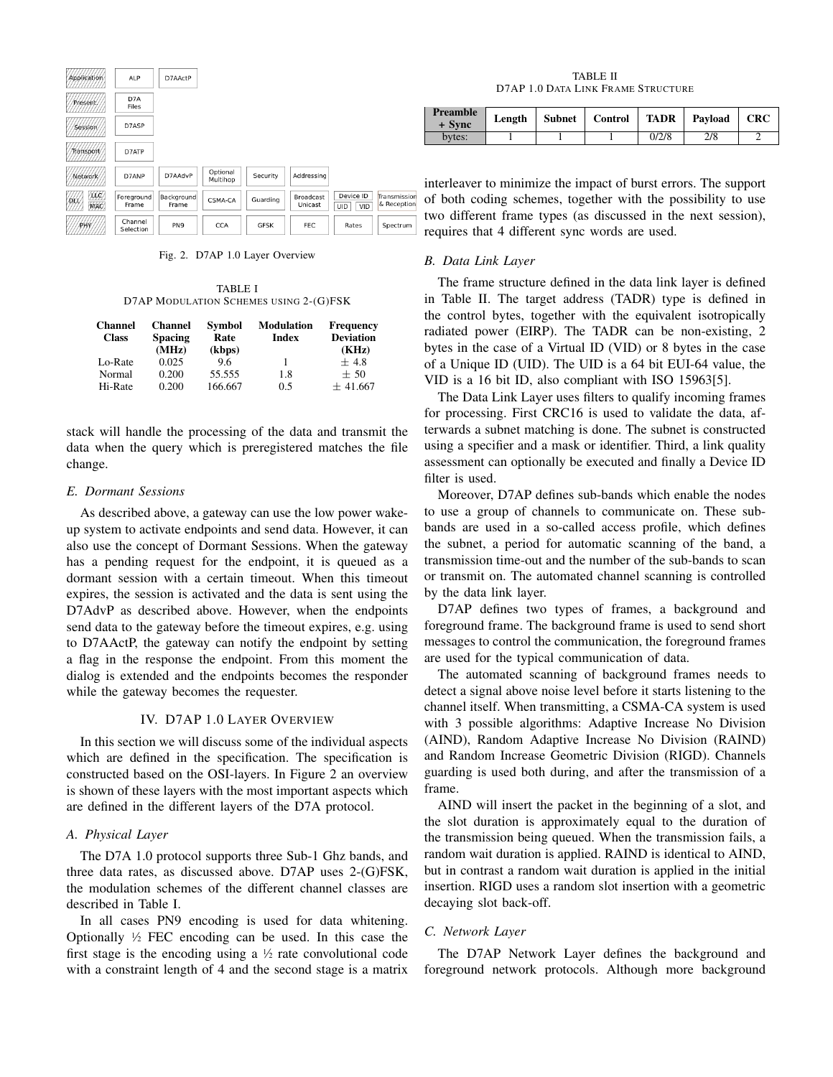| Application               | ALP                  | D7AActP             |                      |             |                      |                         |                           |
|---------------------------|----------------------|---------------------|----------------------|-------------|----------------------|-------------------------|---------------------------|
| Present/                  | D7A<br>Files         |                     |                      |             |                      |                         |                           |
| Session/                  | D7ASP                |                     |                      |             |                      |                         |                           |
| <b>Transport</b>          | D7ATP                |                     |                      |             |                      |                         |                           |
| Network                   | D7ANP                | D7AAdvP             | Optional<br>Multihop | Security    | Addressing           |                         |                           |
| /XXX)<br>ЮÚ<br><b>MAC</b> | Foreground<br>Frame  | Background<br>Frame | CSMA-CA              | Guarding    | Broadcast<br>Unicast | Device ID<br>VID<br>UID | Transmissio<br>& Receptio |
| PHY                       | Channel<br>Selection | PN <sub>9</sub>     | <b>CCA</b>           | <b>GFSK</b> | <b>FEC</b>           | Rates                   | Spectrum                  |

Fig. 2. D7AP 1.0 Layer Overview

TABLE I D7AP MODULATION SCHEMES USING 2-(G)FSK

| <b>Channel</b><br><b>Class</b> | <b>Channel</b><br><b>Spacing</b><br>(MHz) | Symbol<br>Rate<br>(kbps) | <b>Modulation</b><br>Index | <b>Frequency</b><br><b>Deviation</b><br>(KHz) |
|--------------------------------|-------------------------------------------|--------------------------|----------------------------|-----------------------------------------------|
| Lo-Rate                        | 0.025                                     | 96                       |                            | $+4.8$                                        |
| Normal<br>Hi-Rate              | 0.200<br>0.200                            | 55.555<br>166.667        | 1.8<br>0.5                 | $+50$<br>± 41.667                             |

stack will handle the processing of the data and transmit the data when the query which is preregistered matches the file change.

## *E. Dormant Sessions*

As described above, a gateway can use the low power wakeup system to activate endpoints and send data. However, it can also use the concept of Dormant Sessions. When the gateway has a pending request for the endpoint, it is queued as a dormant session with a certain timeout. When this timeout expires, the session is activated and the data is sent using the D7AdvP as described above. However, when the endpoints send data to the gateway before the timeout expires, e.g. using to D7AActP, the gateway can notify the endpoint by setting a flag in the response the endpoint. From this moment the dialog is extended and the endpoints becomes the responder while the gateway becomes the requester.

## IV. D7AP 1.0 LAYER OVERVIEW

In this section we will discuss some of the individual aspects which are defined in the specification. The specification is constructed based on the OSI-layers. In Figure 2 an overview is shown of these layers with the most important aspects which are defined in the different layers of the D7A protocol.

## *A. Physical Layer*

The D7A 1.0 protocol supports three Sub-1 Ghz bands, and three data rates, as discussed above. D7AP uses 2-(G)FSK, the modulation schemes of the different channel classes are described in Table I.

In all cases PN9 encoding is used for data whitening. Optionally  $\frac{1}{2}$  FEC encoding can be used. In this case the first stage is the encoding using a  $\frac{1}{2}$  rate convolutional code with a constraint length of 4 and the second stage is a matrix

TABLE II D7AP 1.0 DATA LINK FRAME STRUCTURE

| Preamble<br>+ Sync | Length | Subnet   Control | <b>TADR</b> | Pavload | <b>CRC</b> |
|--------------------|--------|------------------|-------------|---------|------------|
| bytes:             |        |                  | 0/2/8       | 2/8     |            |

interleaver to minimize the impact of burst errors. The support of both coding schemes, together with the possibility to use two different frame types (as discussed in the next session), requires that 4 different sync words are used.

## *B. Data Link Layer*

The frame structure defined in the data link layer is defined in Table II. The target address (TADR) type is defined in the control bytes, together with the equivalent isotropically radiated power (EIRP). The TADR can be non-existing, 2 bytes in the case of a Virtual ID (VID) or 8 bytes in the case of a Unique ID (UID). The UID is a 64 bit EUI-64 value, the VID is a 16 bit ID, also compliant with ISO 15963[5].

The Data Link Layer uses filters to qualify incoming frames for processing. First CRC16 is used to validate the data, afterwards a subnet matching is done. The subnet is constructed using a specifier and a mask or identifier. Third, a link quality assessment can optionally be executed and finally a Device ID filter is used.

Moreover, D7AP defines sub-bands which enable the nodes to use a group of channels to communicate on. These subbands are used in a so-called access profile, which defines the subnet, a period for automatic scanning of the band, a transmission time-out and the number of the sub-bands to scan or transmit on. The automated channel scanning is controlled by the data link layer.

D7AP defines two types of frames, a background and foreground frame. The background frame is used to send short messages to control the communication, the foreground frames are used for the typical communication of data.

The automated scanning of background frames needs to detect a signal above noise level before it starts listening to the channel itself. When transmitting, a CSMA-CA system is used with 3 possible algorithms: Adaptive Increase No Division (AIND), Random Adaptive Increase No Division (RAIND) and Random Increase Geometric Division (RIGD). Channels guarding is used both during, and after the transmission of a frame.

AIND will insert the packet in the beginning of a slot, and the slot duration is approximately equal to the duration of the transmission being queued. When the transmission fails, a random wait duration is applied. RAIND is identical to AIND, but in contrast a random wait duration is applied in the initial insertion. RIGD uses a random slot insertion with a geometric decaying slot back-off.

## *C. Network Layer*

The D7AP Network Layer defines the background and foreground network protocols. Although more background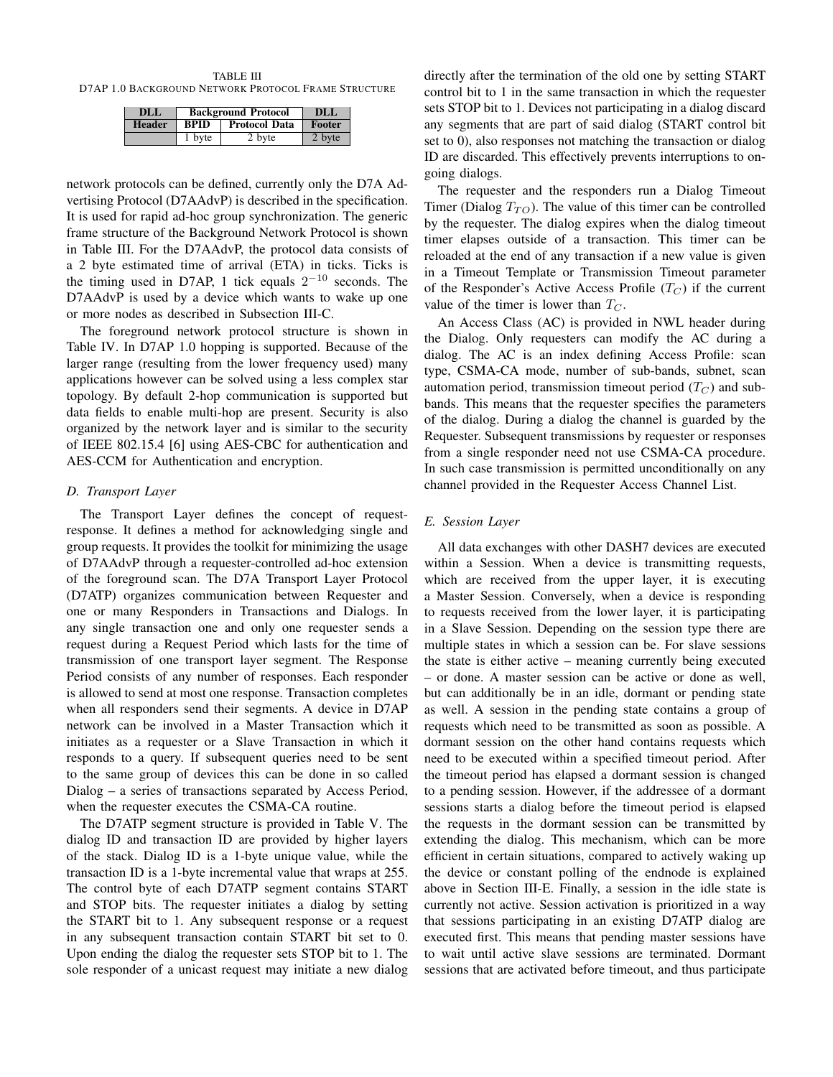TABLE III D7AP 1.0 BACKGROUND NETWORK PROTOCOL FRAME STRUCTURE

| DLL           | <b>Background Protocol</b> | DLL                  |        |
|---------------|----------------------------|----------------------|--------|
| <b>Header</b> | <b>BPID</b>                | <b>Protocol Data</b> | Footer |
| 1 byte        |                            | 2 byte               | 2 byte |

network protocols can be defined, currently only the D7A Advertising Protocol (D7AAdvP) is described in the specification. It is used for rapid ad-hoc group synchronization. The generic frame structure of the Background Network Protocol is shown in Table III. For the D7AAdvP, the protocol data consists of a 2 byte estimated time of arrival (ETA) in ticks. Ticks is the timing used in D7AP, 1 tick equals  $2^{-10}$  seconds. The D7AAdvP is used by a device which wants to wake up one or more nodes as described in Subsection III-C.

The foreground network protocol structure is shown in Table IV. In D7AP 1.0 hopping is supported. Because of the larger range (resulting from the lower frequency used) many applications however can be solved using a less complex star topology. By default 2-hop communication is supported but data fields to enable multi-hop are present. Security is also organized by the network layer and is similar to the security of IEEE 802.15.4 [6] using AES-CBC for authentication and AES-CCM for Authentication and encryption.

## *D. Transport Layer*

The Transport Layer defines the concept of requestresponse. It defines a method for acknowledging single and group requests. It provides the toolkit for minimizing the usage of D7AAdvP through a requester-controlled ad-hoc extension of the foreground scan. The D7A Transport Layer Protocol (D7ATP) organizes communication between Requester and one or many Responders in Transactions and Dialogs. In any single transaction one and only one requester sends a request during a Request Period which lasts for the time of transmission of one transport layer segment. The Response Period consists of any number of responses. Each responder is allowed to send at most one response. Transaction completes when all responders send their segments. A device in D7AP network can be involved in a Master Transaction which it initiates as a requester or a Slave Transaction in which it responds to a query. If subsequent queries need to be sent to the same group of devices this can be done in so called Dialog – a series of transactions separated by Access Period, when the requester executes the CSMA-CA routine.

The D7ATP segment structure is provided in Table V. The dialog ID and transaction ID are provided by higher layers of the stack. Dialog ID is a 1-byte unique value, while the transaction ID is a 1-byte incremental value that wraps at 255. The control byte of each D7ATP segment contains START and STOP bits. The requester initiates a dialog by setting the START bit to 1. Any subsequent response or a request in any subsequent transaction contain START bit set to 0. Upon ending the dialog the requester sets STOP bit to 1. The sole responder of a unicast request may initiate a new dialog directly after the termination of the old one by setting START control bit to 1 in the same transaction in which the requester sets STOP bit to 1. Devices not participating in a dialog discard any segments that are part of said dialog (START control bit set to 0), also responses not matching the transaction or dialog ID are discarded. This effectively prevents interruptions to ongoing dialogs.

The requester and the responders run a Dialog Timeout Timer (Dialog  $T_{TO}$ ). The value of this timer can be controlled by the requester. The dialog expires when the dialog timeout timer elapses outside of a transaction. This timer can be reloaded at the end of any transaction if a new value is given in a Timeout Template or Transmission Timeout parameter of the Responder's Active Access Profile  $(T_C)$  if the current value of the timer is lower than  $T_C$ .

An Access Class (AC) is provided in NWL header during the Dialog. Only requesters can modify the AC during a dialog. The AC is an index defining Access Profile: scan type, CSMA-CA mode, number of sub-bands, subnet, scan automation period, transmission timeout period  $(T_C)$  and subbands. This means that the requester specifies the parameters of the dialog. During a dialog the channel is guarded by the Requester. Subsequent transmissions by requester or responses from a single responder need not use CSMA-CA procedure. In such case transmission is permitted unconditionally on any channel provided in the Requester Access Channel List.

### *E. Session Layer*

All data exchanges with other DASH7 devices are executed within a Session. When a device is transmitting requests, which are received from the upper layer, it is executing a Master Session. Conversely, when a device is responding to requests received from the lower layer, it is participating in a Slave Session. Depending on the session type there are multiple states in which a session can be. For slave sessions the state is either active – meaning currently being executed – or done. A master session can be active or done as well, but can additionally be in an idle, dormant or pending state as well. A session in the pending state contains a group of requests which need to be transmitted as soon as possible. A dormant session on the other hand contains requests which need to be executed within a specified timeout period. After the timeout period has elapsed a dormant session is changed to a pending session. However, if the addressee of a dormant sessions starts a dialog before the timeout period is elapsed the requests in the dormant session can be transmitted by extending the dialog. This mechanism, which can be more efficient in certain situations, compared to actively waking up the device or constant polling of the endnode is explained above in Section III-E. Finally, a session in the idle state is currently not active. Session activation is prioritized in a way that sessions participating in an existing D7ATP dialog are executed first. This means that pending master sessions have to wait until active slave sessions are terminated. Dormant sessions that are activated before timeout, and thus participate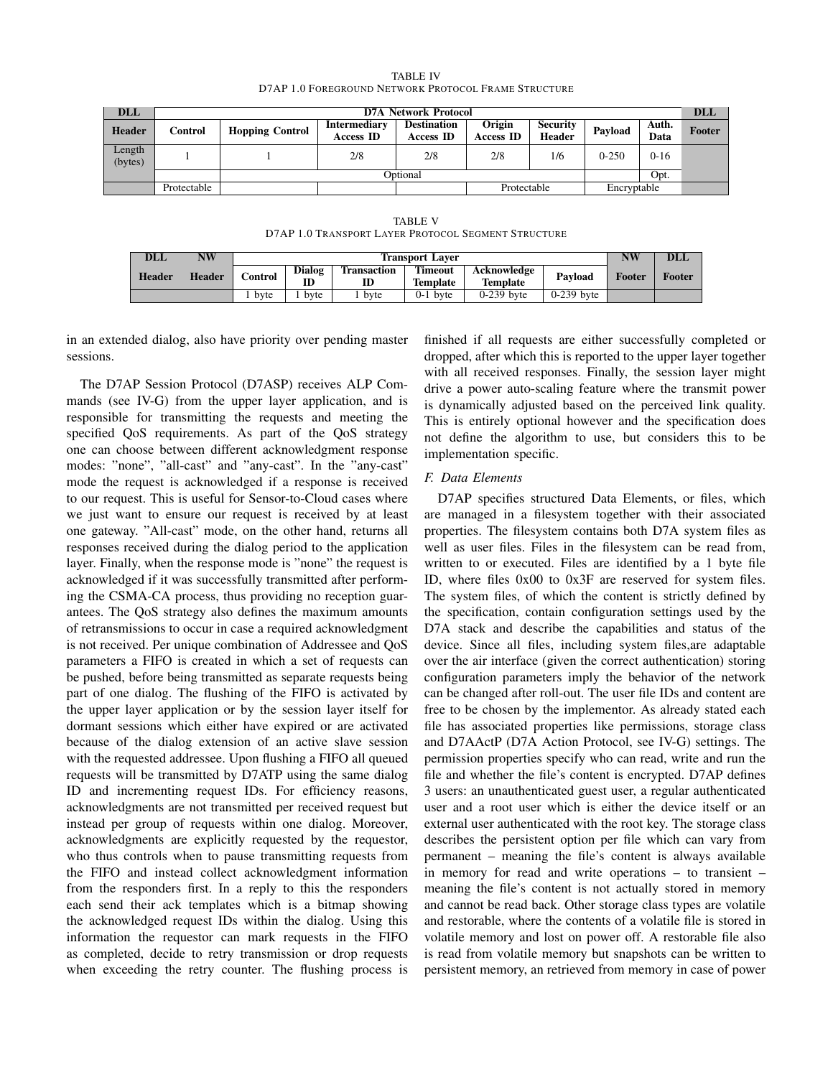| <b>DLL</b>        | <b>D7A Network Protocol</b> |                        |                                         |                                        |                     |                           |             |               |        |
|-------------------|-----------------------------|------------------------|-----------------------------------------|----------------------------------------|---------------------|---------------------------|-------------|---------------|--------|
| <b>Header</b>     | Control                     | <b>Hopping Control</b> | <b>Intermediary</b><br><b>Access ID</b> | <b>Destination</b><br><b>Access ID</b> | Origin<br>Access ID | <b>Security</b><br>Header | Pavload     | Auth.<br>Data | Footer |
| Length<br>(bytes) |                             |                        | 2/8                                     | 2/8                                    | 2/8                 | 1/6                       | $0 - 250$   | $0-16$        |        |
|                   |                             | Opt.<br>Optional       |                                         |                                        |                     |                           |             |               |        |
|                   | Protectable                 |                        |                                         |                                        | Protectable         |                           | Encryptable |               |        |

TABLE IV D7AP 1.0 FOREGROUND NETWORK PROTOCOL FRAME STRUCTURE

TABLE V D7AP 1.0 TRANSPORT LAYER PROTOCOL SEGMENT STRUCTURE

| <b>DLL</b>    | NW            | <b>Transport Laver</b> |              |                          |                            |                         |              | NW     | <b>DLL</b> |
|---------------|---------------|------------------------|--------------|--------------------------|----------------------------|-------------------------|--------------|--------|------------|
| <b>Header</b> | <b>Header</b> | Control                | Dialog<br>ID | <b>Transaction</b><br>ID | <b>Timeout</b><br>Template | Acknowledge<br>Template | Pavload      | Footer | Footer     |
|               |               | byte                   | byte         | byte                     | $0-1$ byte                 | $0-239$ byte            | $0-239$ byte |        |            |

in an extended dialog, also have priority over pending master sessions.

The D7AP Session Protocol (D7ASP) receives ALP Commands (see IV-G) from the upper layer application, and is responsible for transmitting the requests and meeting the specified QoS requirements. As part of the QoS strategy one can choose between different acknowledgment response modes: "none", "all-cast" and "any-cast". In the "any-cast" mode the request is acknowledged if a response is received to our request. This is useful for Sensor-to-Cloud cases where we just want to ensure our request is received by at least one gateway. "All-cast" mode, on the other hand, returns all responses received during the dialog period to the application layer. Finally, when the response mode is "none" the request is acknowledged if it was successfully transmitted after performing the CSMA-CA process, thus providing no reception guarantees. The QoS strategy also defines the maximum amounts of retransmissions to occur in case a required acknowledgment is not received. Per unique combination of Addressee and QoS parameters a FIFO is created in which a set of requests can be pushed, before being transmitted as separate requests being part of one dialog. The flushing of the FIFO is activated by the upper layer application or by the session layer itself for dormant sessions which either have expired or are activated because of the dialog extension of an active slave session with the requested addressee. Upon flushing a FIFO all queued requests will be transmitted by D7ATP using the same dialog ID and incrementing request IDs. For efficiency reasons, acknowledgments are not transmitted per received request but instead per group of requests within one dialog. Moreover, acknowledgments are explicitly requested by the requestor, who thus controls when to pause transmitting requests from the FIFO and instead collect acknowledgment information from the responders first. In a reply to this the responders each send their ack templates which is a bitmap showing the acknowledged request IDs within the dialog. Using this information the requestor can mark requests in the FIFO as completed, decide to retry transmission or drop requests when exceeding the retry counter. The flushing process is

finished if all requests are either successfully completed or dropped, after which this is reported to the upper layer together with all received responses. Finally, the session layer might drive a power auto-scaling feature where the transmit power is dynamically adjusted based on the perceived link quality. This is entirely optional however and the specification does not define the algorithm to use, but considers this to be implementation specific.

## *F. Data Elements*

D7AP specifies structured Data Elements, or files, which are managed in a filesystem together with their associated properties. The filesystem contains both D7A system files as well as user files. Files in the filesystem can be read from, written to or executed. Files are identified by a 1 byte file ID, where files 0x00 to 0x3F are reserved for system files. The system files, of which the content is strictly defined by the specification, contain configuration settings used by the D7A stack and describe the capabilities and status of the device. Since all files, including system files,are adaptable over the air interface (given the correct authentication) storing configuration parameters imply the behavior of the network can be changed after roll-out. The user file IDs and content are free to be chosen by the implementor. As already stated each file has associated properties like permissions, storage class and D7AActP (D7A Action Protocol, see IV-G) settings. The permission properties specify who can read, write and run the file and whether the file's content is encrypted. D7AP defines 3 users: an unauthenticated guest user, a regular authenticated user and a root user which is either the device itself or an external user authenticated with the root key. The storage class describes the persistent option per file which can vary from permanent – meaning the file's content is always available in memory for read and write operations – to transient – meaning the file's content is not actually stored in memory and cannot be read back. Other storage class types are volatile and restorable, where the contents of a volatile file is stored in volatile memory and lost on power off. A restorable file also is read from volatile memory but snapshots can be written to persistent memory, an retrieved from memory in case of power